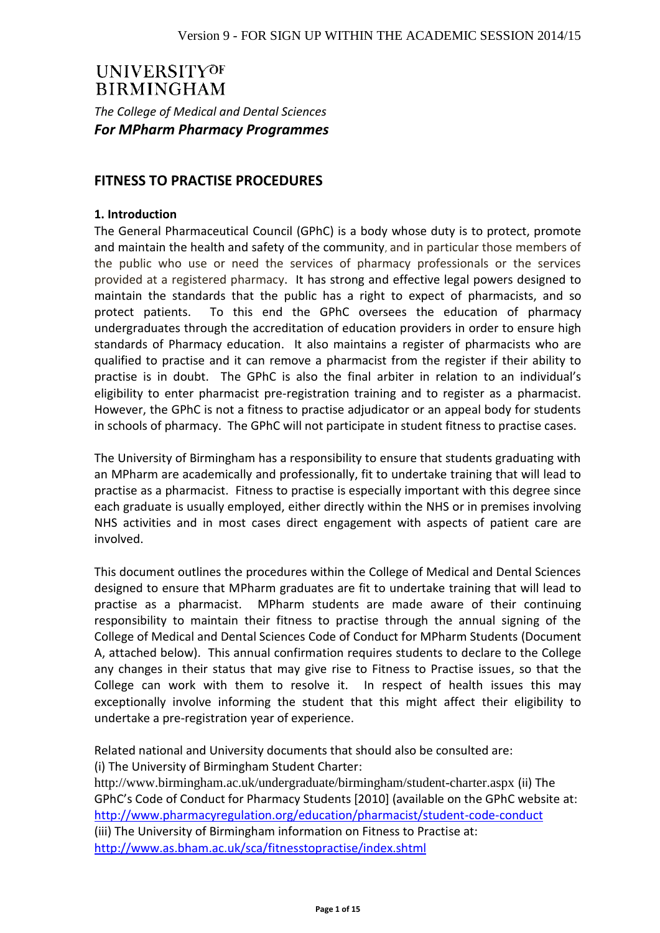# **UNIVERSITYOF BIRMINGHAM**

*The College of Medical and Dental Sciences For MPharm Pharmacy Programmes*

## **FITNESS TO PRACTISE PROCEDURES**

#### **1. Introduction**

The General Pharmaceutical Council (GPhC) is a body whose duty is to protect, promote and maintain the health and safety of the community, and in particular those members of the public who use or need the services of pharmacy professionals or the services provided at a registered pharmacy. It has strong and effective legal powers designed to maintain the standards that the public has a right to expect of pharmacists, and so protect patients. To this end the GPhC oversees the education of pharmacy undergraduates through the accreditation of education providers in order to ensure high standards of Pharmacy education. It also maintains a register of pharmacists who are qualified to practise and it can remove a pharmacist from the register if their ability to practise is in doubt. The GPhC is also the final arbiter in relation to an individual's eligibility to enter pharmacist pre-registration training and to register as a pharmacist. However, the GPhC is not a fitness to practise adjudicator or an appeal body for students in schools of pharmacy. The GPhC will not participate in student fitness to practise cases.

The University of Birmingham has a responsibility to ensure that students graduating with an MPharm are academically and professionally, fit to undertake training that will lead to practise as a pharmacist. Fitness to practise is especially important with this degree since each graduate is usually employed, either directly within the NHS or in premises involving NHS activities and in most cases direct engagement with aspects of patient care are involved.

This document outlines the procedures within the College of Medical and Dental Sciences designed to ensure that MPharm graduates are fit to undertake training that will lead to practise as a pharmacist. MPharm students are made aware of their continuing responsibility to maintain their fitness to practise through the annual signing of the College of Medical and Dental Sciences Code of Conduct for MPharm Students (Document A, attached below). This annual confirmation requires students to declare to the College any changes in their status that may give rise to Fitness to Practise issues, so that the College can work with them to resolve it. In respect of health issues this may exceptionally involve informing the student that this might affect their eligibility to undertake a pre-registration year of experience.

Related national and University documents that should also be consulted are:

(i) The University of Birmingham Student Charter:

http://www.birmingham.ac.uk/undergraduate/birmingham/student-charter.aspx (ii) The GPhC's Code of Conduct for Pharmacy Students [2010] (available on the GPhC website at: <http://www.pharmacyregulation.org/education/pharmacist/student-code-conduct> (iii) The University of Birmingham information on Fitness to Practise at: <http://www.as.bham.ac.uk/sca/fitnesstopractise/index.shtml>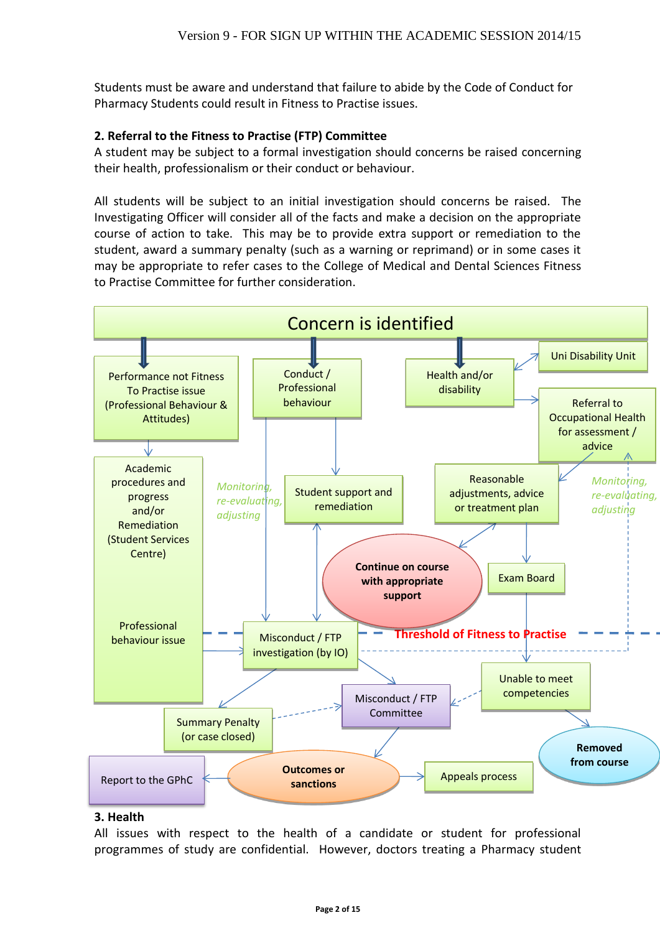Students must be aware and understand that failure to abide by the Code of Conduct for Pharmacy Students could result in Fitness to Practise issues.

### **2. Referral to the Fitness to Practise (FTP) Committee**

A student may be subject to a formal investigation should concerns be raised concerning their health, professionalism or their conduct or behaviour.

All students will be subject to an initial investigation should concerns be raised. The Investigating Officer will consider all of the facts and make a decision on the appropriate course of action to take. This may be to provide extra support or remediation to the student, award a summary penalty (such as a warning or reprimand) or in some cases it may be appropriate to refer cases to the College of Medical and Dental Sciences Fitness to Practise Committee for further consideration.



#### **3. Health**

All issues with respect to the health of a candidate or student for professional programmes of study are confidential. However, doctors treating a Pharmacy student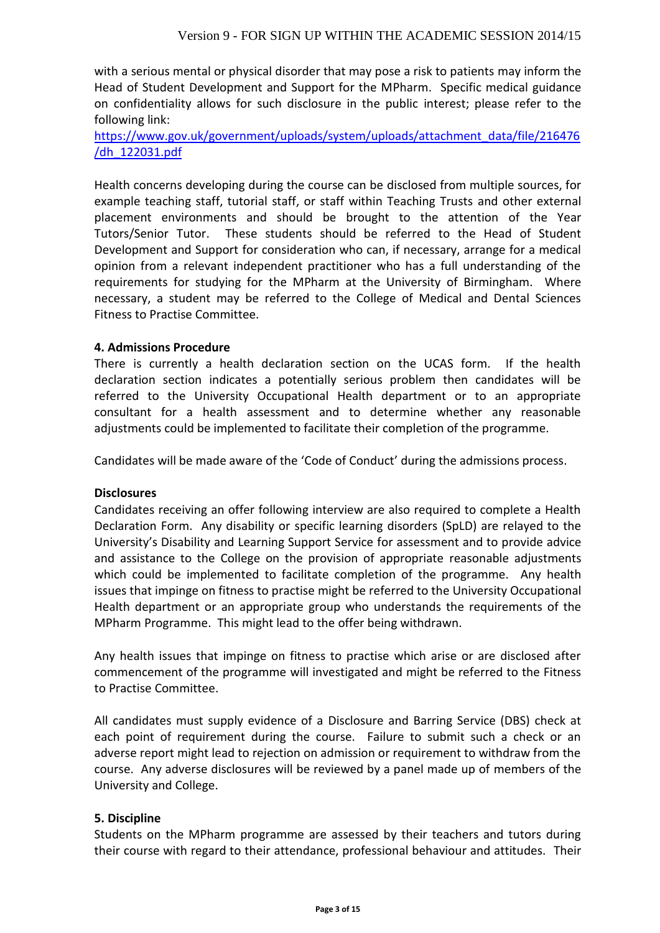with a serious mental or physical disorder that may pose a risk to patients may inform the Head of Student Development and Support for the MPharm. Specific medical guidance on confidentiality allows for such disclosure in the public interest; please refer to the following link:

[https://www.gov.uk/government/uploads/system/uploads/attachment\\_data/file/216476](https://www.gov.uk/government/uploads/system/uploads/attachment_data/file/216476/dh_122031.pdf) [/dh\\_122031.pdf](https://www.gov.uk/government/uploads/system/uploads/attachment_data/file/216476/dh_122031.pdf)

Health concerns developing during the course can be disclosed from multiple sources, for example teaching staff, tutorial staff, or staff within Teaching Trusts and other external placement environments and should be brought to the attention of the Year Tutors/Senior Tutor. These students should be referred to the Head of Student Development and Support for consideration who can, if necessary, arrange for a medical opinion from a relevant independent practitioner who has a full understanding of the requirements for studying for the MPharm at the University of Birmingham. Where necessary, a student may be referred to the College of Medical and Dental Sciences Fitness to Practise Committee.

#### **4. Admissions Procedure**

There is currently a health declaration section on the UCAS form. If the health declaration section indicates a potentially serious problem then candidates will be referred to the University Occupational Health department or to an appropriate consultant for a health assessment and to determine whether any reasonable adjustments could be implemented to facilitate their completion of the programme*.*

Candidates will be made aware of the 'Code of Conduct' during the admissions process.

#### **Disclosures**

Candidates receiving an offer following interview are also required to complete a Health Declaration Form. Any disability or specific learning disorders (SpLD) are relayed to the University's Disability and Learning Support Service for assessment and to provide advice and assistance to the College on the provision of appropriate reasonable adjustments which could be implemented to facilitate completion of the programme. Any health issues that impinge on fitness to practise might be referred to the University Occupational Health department or an appropriate group who understands the requirements of the MPharm Programme. This might lead to the offer being withdrawn.

Any health issues that impinge on fitness to practise which arise or are disclosed after commencement of the programme will investigated and might be referred to the Fitness to Practise Committee.

All candidates must supply evidence of a Disclosure and Barring Service (DBS) check at each point of requirement during the course. Failure to submit such a check or an adverse report might lead to rejection on admission or requirement to withdraw from the course. Any adverse disclosures will be reviewed by a panel made up of members of the University and College.

#### **5. Discipline**

Students on the MPharm programme are assessed by their teachers and tutors during their course with regard to their attendance, professional behaviour and attitudes. Their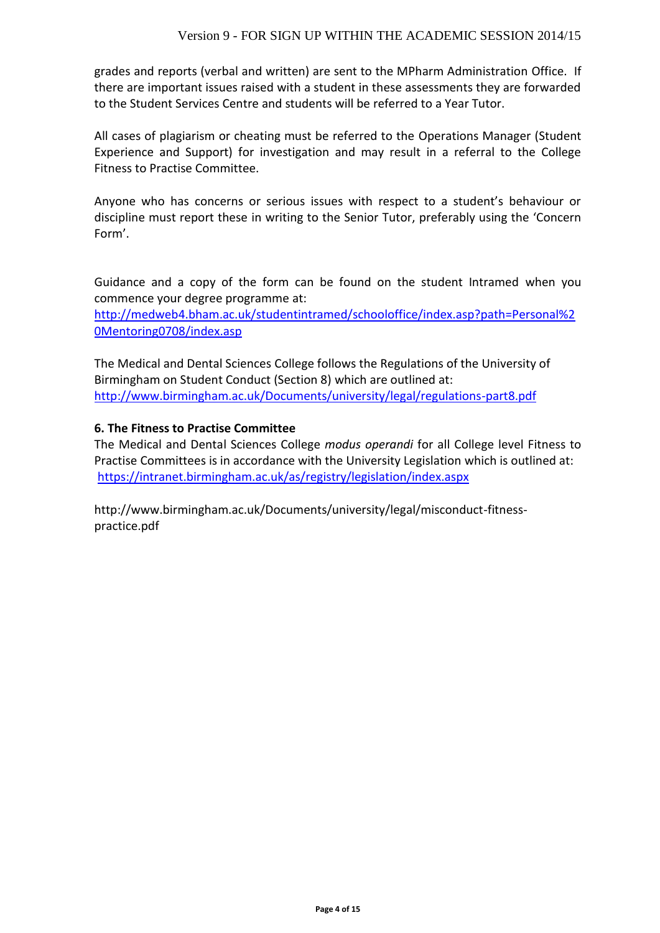grades and reports (verbal and written) are sent to the MPharm Administration Office. If there are important issues raised with a student in these assessments they are forwarded to the Student Services Centre and students will be referred to a Year Tutor.

All cases of plagiarism or cheating must be referred to the Operations Manager (Student Experience and Support) for investigation and may result in a referral to the College Fitness to Practise Committee.

Anyone who has concerns or serious issues with respect to a student's behaviour or discipline must report these in writing to the Senior Tutor, preferably using the 'Concern Form'.

Guidance and a copy of the form can be found on the student Intramed when you commence your degree programme at:

[http://medweb4.bham.ac.uk/studentintramed/schooloffice/index.asp?path=Personal%2](http://medweb4.bham.ac.uk/studentintramed/schooloffice/index.asp?path=Personal%20Mentoring0708/index.asp) [0Mentoring0708/index.asp](http://medweb4.bham.ac.uk/studentintramed/schooloffice/index.asp?path=Personal%20Mentoring0708/index.asp)

The Medical and Dental Sciences College follows the Regulations of the University of Birmingham on Student Conduct (Section 8) which are outlined at: http://www.birmingham.ac.uk/Documents/university/legal/regulations-part8.pdf

### **6. The Fitness to Practise Committee**

The Medical and Dental Sciences College *modus operandi* for all College level Fitness to Practise Committees is in accordance with the University Legislation which is outlined at: <https://intranet.birmingham.ac.uk/as/registry/legislation/index.aspx>

http://www.birmingham.ac.uk/Documents/university/legal/misconduct-fitnesspractice.pdf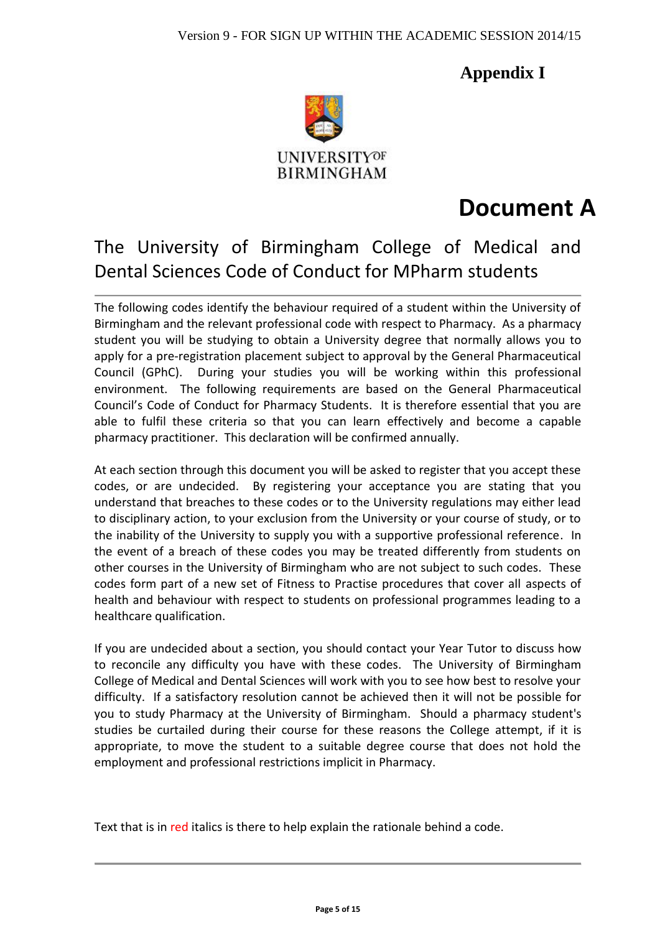**Appendix I**



# **Document A**

# The University of Birmingham College of Medical and Dental Sciences Code of Conduct for MPharm students

The following codes identify the behaviour required of a student within the University of Birmingham and the relevant professional code with respect to Pharmacy. As a pharmacy student you will be studying to obtain a University degree that normally allows you to apply for a pre-registration placement subject to approval by the General Pharmaceutical Council (GPhC). During your studies you will be working within this professional environment. The following requirements are based on the General Pharmaceutical Council's Code of Conduct for Pharmacy Students. It is therefore essential that you are able to fulfil these criteria so that you can learn effectively and become a capable pharmacy practitioner. This declaration will be confirmed annually.

At each section through this document you will be asked to register that you accept these codes, or are undecided. By registering your acceptance you are stating that you understand that breaches to these codes or to the University regulations may either lead to disciplinary action, to your exclusion from the University or your course of study, or to the inability of the University to supply you with a supportive professional reference. In the event of a breach of these codes you may be treated differently from students on other courses in the University of Birmingham who are not subject to such codes. These codes form part of a new set of Fitness to Practise procedures that cover all aspects of health and behaviour with respect to students on professional programmes leading to a healthcare qualification.

If you are undecided about a section, you should contact your Year Tutor to discuss how to reconcile any difficulty you have with these codes. The University of Birmingham College of Medical and Dental Sciences will work with you to see how best to resolve your difficulty. If a satisfactory resolution cannot be achieved then it will not be possible for you to study Pharmacy at the University of Birmingham. Should a pharmacy student's studies be curtailed during their course for these reasons the College attempt, if it is appropriate, to move the student to a suitable degree course that does not hold the employment and professional restrictions implicit in Pharmacy.

Text that is in red italics is there to help explain the rationale behind a code.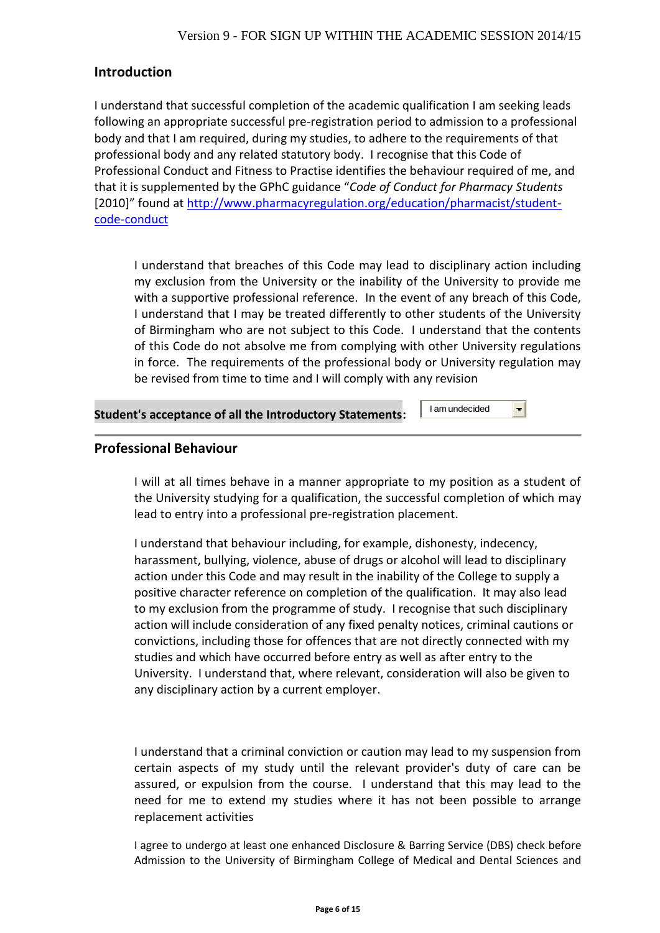# **Introduction**

I understand that successful completion of the academic qualification I am seeking leads following an appropriate successful pre-registration period to admission to a professional body and that I am required, during my studies, to adhere to the requirements of that professional body and any related statutory body. I recognise that this Code of Professional Conduct and Fitness to Practise identifies the behaviour required of me, and that it is supplemented by the GPhC guidance "*Code of Conduct for Pharmacy Students* [2010]" found at [http://www.pharmacyregulation.org/education/pharmacist/student](http://www.pharmacyregulation.org/education/pharmacist/student-code-conduct)[code-conduct](http://www.pharmacyregulation.org/education/pharmacist/student-code-conduct)

I understand that breaches of this Code may lead to disciplinary action including my exclusion from the University or the inability of the University to provide me with a supportive professional reference. In the event of any breach of this Code, I understand that I may be treated differently to other students of the University of Birmingham who are not subject to this Code. I understand that the contents of this Code do not absolve me from complying with other University regulations in force. The requirements of the professional body or University regulation may be revised from time to time and I will comply with any revision

#### **Student's acceptance of all the Introductory Statements:**

I am undecided

 $\overline{\phantom{a}}$ 

### **Professional Behaviour**

I will at all times behave in a manner appropriate to my position as a student of the University studying for a qualification, the successful completion of which may lead to entry into a professional pre-registration placement.

I understand that behaviour including, for example, dishonesty, indecency, harassment, bullying, violence, abuse of drugs or alcohol will lead to disciplinary action under this Code and may result in the inability of the College to supply a positive character reference on completion of the qualification. It may also lead to my exclusion from the programme of study. I recognise that such disciplinary action will include consideration of any fixed penalty notices, criminal cautions or convictions, including those for offences that are not directly connected with my studies and which have occurred before entry as well as after entry to the University. I understand that, where relevant, consideration will also be given to any disciplinary action by a current employer.

I understand that a criminal conviction or caution may lead to my suspension from certain aspects of my study until the relevant provider's duty of care can be assured, or expulsion from the course. I understand that this may lead to the need for me to extend my studies where it has not been possible to arrange replacement activities

I agree to undergo at least one enhanced Disclosure & Barring Service (DBS) check before Admission to the University of Birmingham College of Medical and Dental Sciences and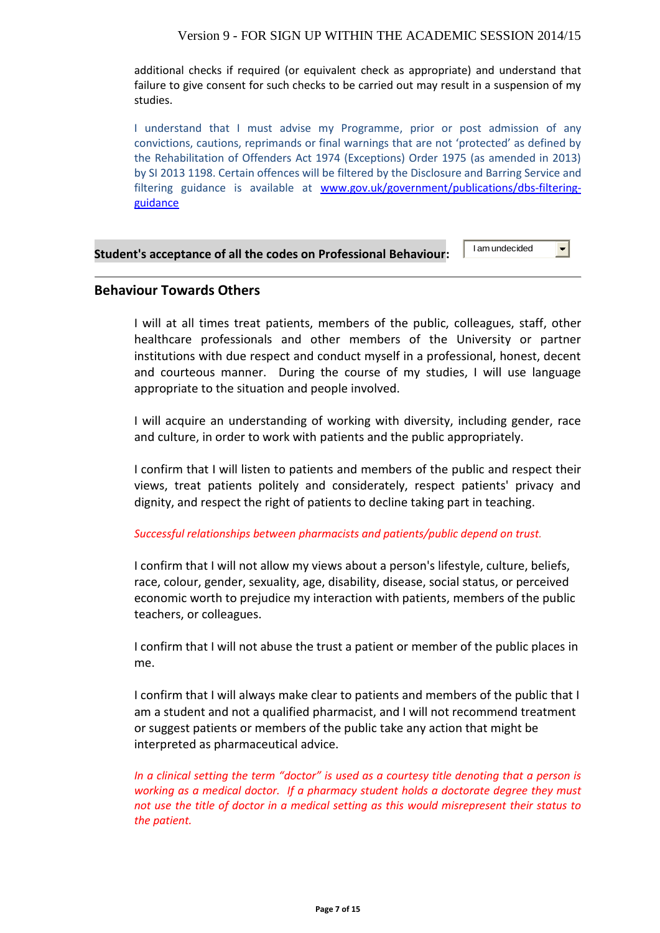#### Version 9 - FOR SIGN UP WITHIN THE ACADEMIC SESSION 2014/15

additional checks if required (or equivalent check as appropriate) and understand that failure to give consent for such checks to be carried out may result in a suspension of my studies.

I understand that I must advise my Programme, prior or post admission of any convictions, cautions, reprimands or final warnings that are not 'protected' as defined by the Rehabilitation of Offenders Act 1974 (Exceptions) Order 1975 (as amended in 2013) by SI 2013 1198. Certain offences will be filtered by the Disclosure and Barring Service and filtering guidance is available at [www.gov.uk/government/publications/dbs-filtering](http://www.gov.uk/government/publications/dbs-filtering-guidance)[guidance](http://www.gov.uk/government/publications/dbs-filtering-guidance)

#### **Student's acceptance of all the codes on Professional Behaviour:**

I am undecided

 $\blacksquare$ 

#### **Behaviour Towards Others**

I will at all times treat patients, members of the public, colleagues, staff, other healthcare professionals and other members of the University or partner institutions with due respect and conduct myself in a professional, honest, decent and courteous manner. During the course of my studies, I will use language appropriate to the situation and people involved.

I will acquire an understanding of working with diversity, including gender, race and culture, in order to work with patients and the public appropriately.

I confirm that I will listen to patients and members of the public and respect their views, treat patients politely and considerately, respect patients' privacy and dignity, and respect the right of patients to decline taking part in teaching.

#### *Successful relationships between pharmacists and patients/public depend on trust.*

I confirm that I will not allow my views about a person's lifestyle, culture, beliefs, race, colour, gender, sexuality, age, disability, disease, social status, or perceived economic worth to prejudice my interaction with patients, members of the public teachers, or colleagues.

I confirm that I will not abuse the trust a patient or member of the public places in me.

I confirm that I will always make clear to patients and members of the public that I am a student and not a qualified pharmacist, and I will not recommend treatment or suggest patients or members of the public take any action that might be interpreted as pharmaceutical advice.

*In a clinical setting the term "doctor" is used as a courtesy title denoting that a person is working as a medical doctor. If a pharmacy student holds a doctorate degree they must not use the title of doctor in a medical setting as this would misrepresent their status to the patient.*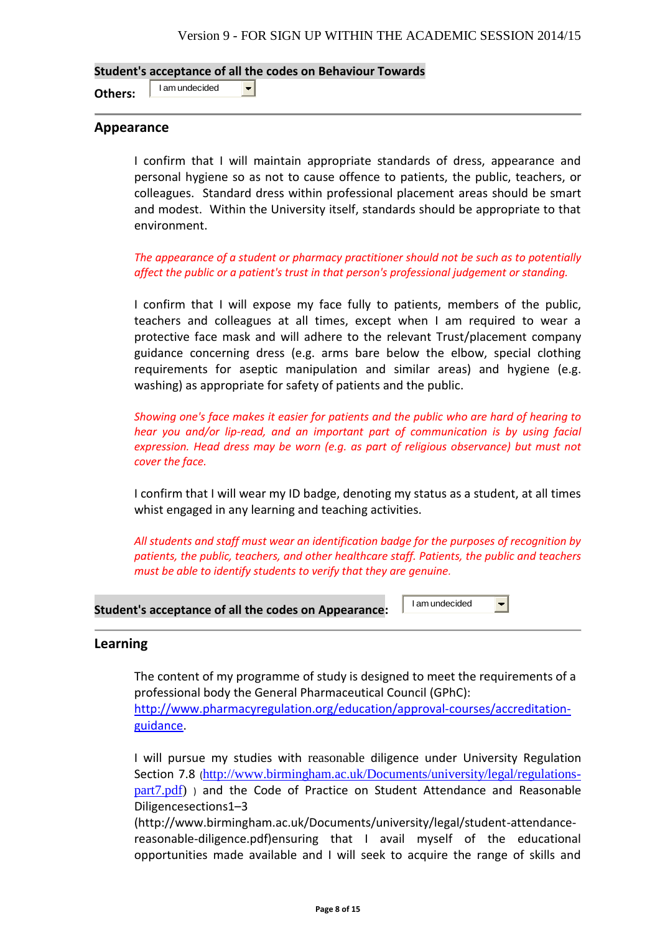**Student's acceptance of all the codes on Behaviour Towards**

 $\blacksquare$ 

**Others:** I am undecided

**Appearance**

I confirm that I will maintain appropriate standards of dress, appearance and personal hygiene so as not to cause offence to patients, the public, teachers, or colleagues. Standard dress within professional placement areas should be smart and modest. Within the University itself, standards should be appropriate to that environment.

*The appearance of a student or pharmacy practitioner should not be such as to potentially affect the public or a patient's trust in that person's professional judgement or standing.*

I confirm that I will expose my face fully to patients, members of the public, teachers and colleagues at all times, except when I am required to wear a protective face mask and will adhere to the relevant Trust/placement company guidance concerning dress (e.g. arms bare below the elbow, special clothing requirements for aseptic manipulation and similar areas) and hygiene (e.g. washing) as appropriate for safety of patients and the public.

*Showing one's face makes it easier for patients and the public who are hard of hearing to hear you and/or lip-read, and an important part of communication is by using facial expression. Head dress may be worn (e.g. as part of religious observance) but must not cover the face.*

I confirm that I will wear my ID badge, denoting my status as a student, at all times whist engaged in any learning and teaching activities.

*All students and staff must wear an identification badge for the purposes of recognition by patients, the public, teachers, and other healthcare staff. Patients, the public and teachers must be able to identify students to verify that they are genuine.*

#### **Student's acceptance of all the codes on Appearance:**

I am undecided $\vert \mathbf{r} \vert$ 

#### **Learning**

The content of my programme of study is designed to meet the requirements of a professional body the General Pharmaceutical Council (GPhC): [http://www.pharmacyregulation.org/education/approval-courses/accreditation](http://www.pharmacyregulation.org/education/approval-courses/accreditation-guidance)[guidance.](http://www.pharmacyregulation.org/education/approval-courses/accreditation-guidance)

I will pursue my studies with reasonable diligence under University Regulation Section 7.8 ([http://www.birmingham.ac.uk/Documents/university/legal/regulations](http://www.birmingham.ac.uk/Documents/university/legal/regulations-part7.pdf)[part7.pdf\)](http://www.birmingham.ac.uk/Documents/university/legal/regulations-part7.pdf) ) and the Code of Practice on Student Attendance and Reasonable Diligencesections1–3

(http://www.birmingham.ac.uk/Documents/university/legal/student-attendancereasonable-diligence.pdf)ensuring that I avail myself of the educational opportunities made available and I will seek to acquire the range of skills and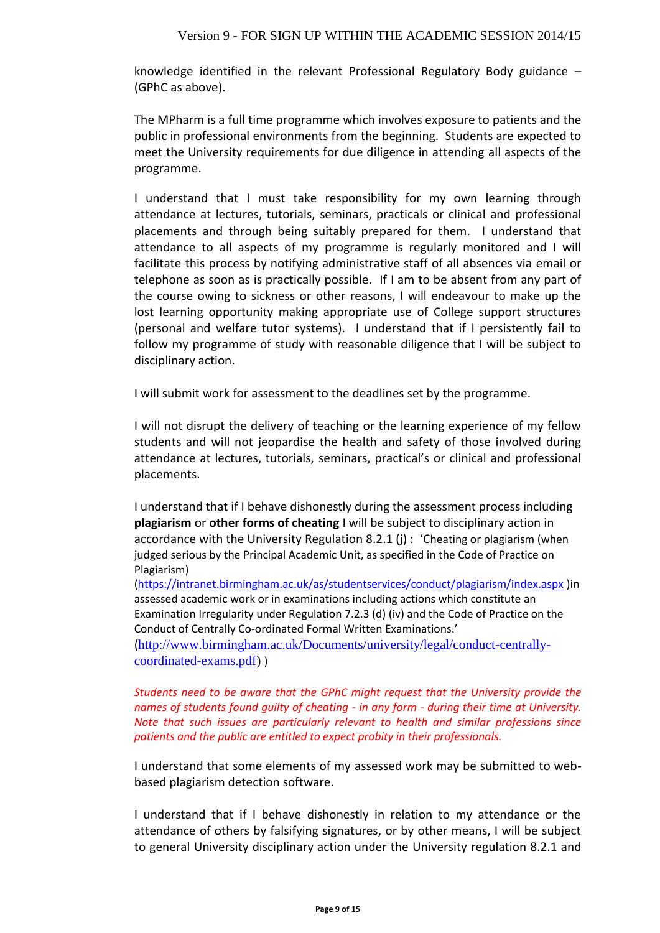#### Version 9 - FOR SIGN UP WITHIN THE ACADEMIC SESSION 2014/15

knowledge identified in the relevant Professional Regulatory Body guidance – (GPhC as above).

The MPharm is a full time programme which involves exposure to patients and the public in professional environments from the beginning. Students are expected to meet the University requirements for due diligence in attending all aspects of the programme.

I understand that I must take responsibility for my own learning through attendance at lectures, tutorials, seminars, practicals or clinical and professional placements and through being suitably prepared for them. I understand that attendance to all aspects of my programme is regularly monitored and I will facilitate this process by notifying administrative staff of all absences via email or telephone as soon as is practically possible. If I am to be absent from any part of the course owing to sickness or other reasons, I will endeavour to make up the lost learning opportunity making appropriate use of College support structures (personal and welfare tutor systems). I understand that if I persistently fail to follow my programme of study with reasonable diligence that I will be subject to disciplinary action.

I will submit work for assessment to the deadlines set by the programme.

I will not disrupt the delivery of teaching or the learning experience of my fellow students and will not jeopardise the health and safety of those involved during attendance at lectures, tutorials, seminars, practical's or clinical and professional placements.

I understand that if I behave dishonestly during the assessment process including **plagiarism** or **other forms of cheating** I will be subject to disciplinary action in accordance with the University Regulation 8.2.1 (j) : 'Cheating or plagiarism (when judged serious by the Principal Academic Unit, as specified in the Code of Practice on Plagiarism)

[\(https://intranet.birmingham.ac.uk/as/studentservices/conduct/plagiarism/index.aspx](https://intranet.birmingham.ac.uk/as/studentservices/conduct/plagiarism/index.aspx) )in assessed academic work or in examinations including actions which constitute an Examination Irregularity under Regulation 7.2.3 (d) (iv) and the Code of Practice on the Conduct of Centrally Co-ordinated Formal Written Examinations.'

([http://www.birmingham.ac.uk/Documents/university/legal/conduct-centrally](http://www.birmingham.ac.uk/Documents/university/legal/conduct-centrally-coordinated-exams.pdf)[coordinated-exams.pdf\)](http://www.birmingham.ac.uk/Documents/university/legal/conduct-centrally-coordinated-exams.pdf) )

*Students need to be aware that the GPhC might request that the University provide the names of students found guilty of cheating - in any form - during their time at University. Note that such issues are particularly relevant to health and similar professions since patients and the public are entitled to expect probity in their professionals.* 

I understand that some elements of my assessed work may be submitted to webbased plagiarism detection software.

I understand that if I behave dishonestly in relation to my attendance or the attendance of others by falsifying signatures, or by other means, I will be subject to general University disciplinary action under the University regulation 8.2.1 and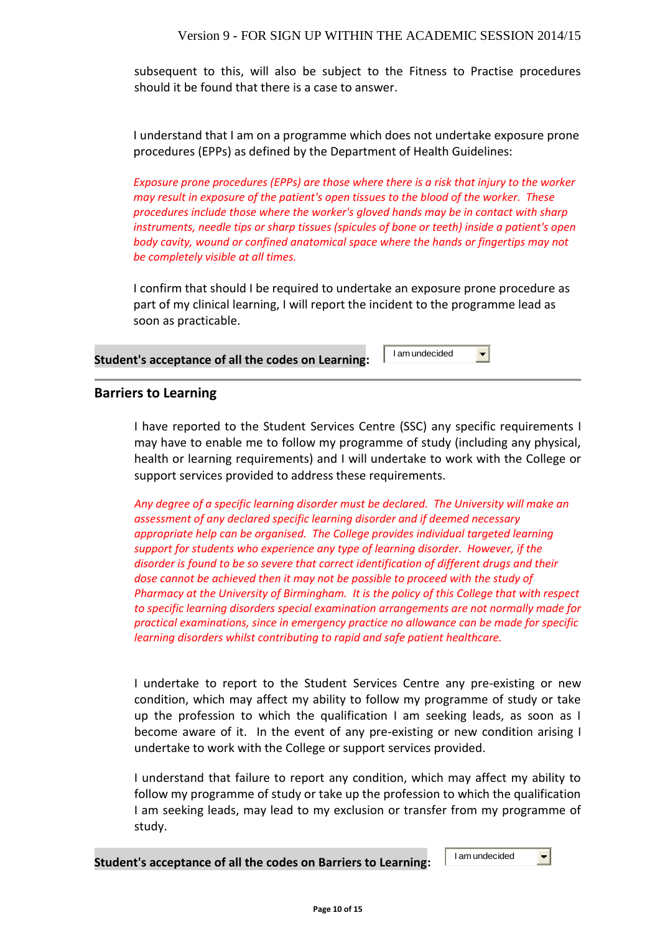subsequent to this, will also be subject to the Fitness to Practise procedures should it be found that there is a case to answer.

I understand that I am on a programme which does not undertake exposure prone procedures (EPPs) as defined by the Department of Health Guidelines:

*Exposure prone procedures (EPPs) are those where there is a risk that injury to the worker may result in exposure of the patient's open tissues to the blood of the worker. These procedures include those where the worker's gloved hands may be in contact with sharp instruments, needle tips or sharp tissues (spicules of bone or teeth) inside a patient's open body cavity, wound or confined anatomical space where the hands or fingertips may not be completely visible at all times.*

I confirm that should I be required to undertake an exposure prone procedure as part of my clinical learning, I will report the incident to the programme lead as soon as practicable.

#### **Student's acceptance of all the codes on Learning:**

#### **Barriers to Learning**

I have reported to the Student Services Centre (SSC) any specific requirements I may have to enable me to follow my programme of study (including any physical, health or learning requirements) and I will undertake to work with the College or support services provided to address these requirements.

*Any degree of a specific learning disorder must be declared. The University will make an assessment of any declared specific learning disorder and if deemed necessary appropriate help can be organised. The College provides individual targeted learning support for students who experience any type of learning disorder. However, if the disorder is found to be so severe that correct identification of different drugs and their*  dose cannot be achieved then it may not be possible to proceed with the study of *Pharmacy at the University of Birmingham. It is the policy of this College that with respect to specific learning disorders special examination arrangements are not normally made for practical examinations, since in emergency practice no allowance can be made for specific learning disorders whilst contributing to rapid and safe patient healthcare.*  I am undecided<br>
I am undecided<br>
I article of study (including a<br>
ertake to work with th<br>
irrements.<br> *cclared. The University werand if deemed necessarides individual targeted .<br>
rand if deemed necessarides individual targ* 

I undertake to report to the Student Services Centre any pre-existing or new condition, which may affect my ability to follow my programme of study or take up the profession to which the qualification I am seeking leads, as soon as I become aware of it. In the event of any pre-existing or new condition arising I undertake to work with the College or support services provided.

I understand that failure to report any condition, which may affect my ability to follow my programme of study or take up the profession to which the qualification I am seeking leads, may lead to my exclusion or transfer from my programme of study.

 $\vert \cdot \vert$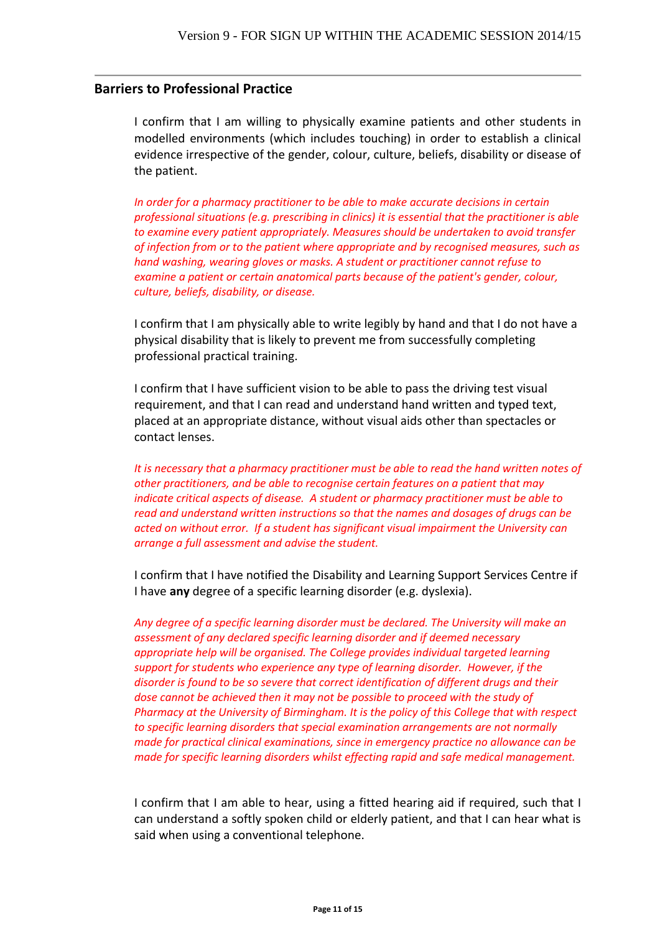#### **Barriers to Professional Practice**

I confirm that I am willing to physically examine patients and other students in modelled environments (which includes touching) in order to establish a clinical evidence irrespective of the gender, colour, culture, beliefs, disability or disease of the patient.

*In order for a pharmacy practitioner to be able to make accurate decisions in certain professional situations (e.g. prescribing in clinics) it is essential that the practitioner is able to examine every patient appropriately. Measures should be undertaken to avoid transfer of infection from or to the patient where appropriate and by recognised measures, such as hand washing, wearing gloves or masks. A student or practitioner cannot refuse to examine a patient or certain anatomical parts because of the patient's gender, colour, culture, beliefs, disability, or disease.*

I confirm that I am physically able to write legibly by hand and that I do not have a physical disability that is likely to prevent me from successfully completing professional practical training.

I confirm that I have sufficient vision to be able to pass the driving test visual requirement, and that I can read and understand hand written and typed text, placed at an appropriate distance, without visual aids other than spectacles or contact lenses.

*It is necessary that a pharmacy practitioner must be able to read the hand written notes of other practitioners, and be able to recognise certain features on a patient that may indicate critical aspects of disease. A student or pharmacy practitioner must be able to read and understand written instructions so that the names and dosages of drugs can be acted on without error. If a student has significant visual impairment the University can arrange a full assessment and advise the student.*

I confirm that I have notified the Disability and Learning Support Services Centre if I have **any** degree of a specific learning disorder (e.g. dyslexia).

*Any degree of a specific learning disorder must be declared. The University will make an assessment of any declared specific learning disorder and if deemed necessary appropriate help will be organised. The College provides individual targeted learning support for students who experience any type of learning disorder. However, if the disorder is found to be so severe that correct identification of different drugs and their dose cannot be achieved then it may not be possible to proceed with the study of Pharmacy at the University of Birmingham. It is the policy of this College that with respect to specific learning disorders that special examination arrangements are not normally made for practical clinical examinations, since in emergency practice no allowance can be made for specific learning disorders whilst effecting rapid and safe medical management.* 

I confirm that I am able to hear, using a fitted hearing aid if required, such that I can understand a softly spoken child or elderly patient, and that I can hear what is said when using a conventional telephone.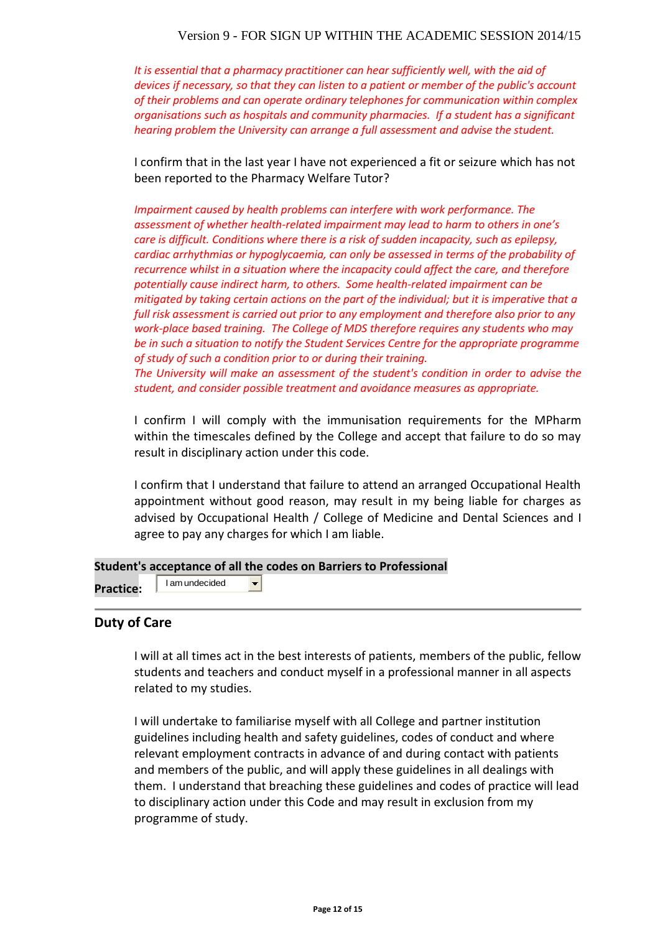#### Version 9 - FOR SIGN UP WITHIN THE ACADEMIC SESSION 2014/15

*It is essential that a pharmacy practitioner can hear sufficiently well, with the aid of devices if necessary, so that they can listen to a patient or member of the public's account of their problems and can operate ordinary telephones for communication within complex organisations such as hospitals and community pharmacies. If a student has a significant hearing problem the University can arrange a full assessment and advise the student.* 

I confirm that in the last year I have not experienced a fit or seizure which has not been reported to the Pharmacy Welfare Tutor?

*Impairment caused by health problems can interfere with work performance. The assessment of whether health-related impairment may lead to harm to others in one's care is difficult. Conditions where there is a risk of sudden incapacity, such as epilepsy, cardiac arrhythmias or hypoglycaemia, can only be assessed in terms of the probability of recurrence whilst in a situation where the incapacity could affect the care, and therefore potentially cause indirect harm, to others. Some health-related impairment can be mitigated by taking certain actions on the part of the individual; but it is imperative that a full risk assessment is carried out prior to any employment and therefore also prior to any work-place based training. The College of MDS therefore requires any students who may be in such a situation to notify the Student Services Centre for the appropriate programme of study of such a condition prior to or during their training.*

*The University will make an assessment of the student's condition in order to advise the student, and consider possible treatment and avoidance measures as appropriate.*

I confirm I will comply with the immunisation requirements for the MPharm within the timescales defined by the College and accept that failure to do so may result in disciplinary action under this code.

I confirm that I understand that failure to attend an arranged Occupational Health appointment without good reason, may result in my being liable for charges as advised by Occupational Health / College of Medicine and Dental Sciences and I agree to pay any charges for which I am liable.

#### **Student's acceptance of all the codes on Barriers to Professional**

 $\overline{\phantom{a}}$ 

**Practice:** 

I am undecided

#### **Duty of Care**

I will at all times act in the best interests of patients, members of the public, fellow students and teachers and conduct myself in a professional manner in all aspects related to my studies.

I will undertake to familiarise myself with all College and partner institution guidelines including health and safety guidelines, codes of conduct and where relevant employment contracts in advance of and during contact with patients and members of the public, and will apply these guidelines in all dealings with them. I understand that breaching these guidelines and codes of practice will lead to disciplinary action under this Code and may result in exclusion from my programme of study.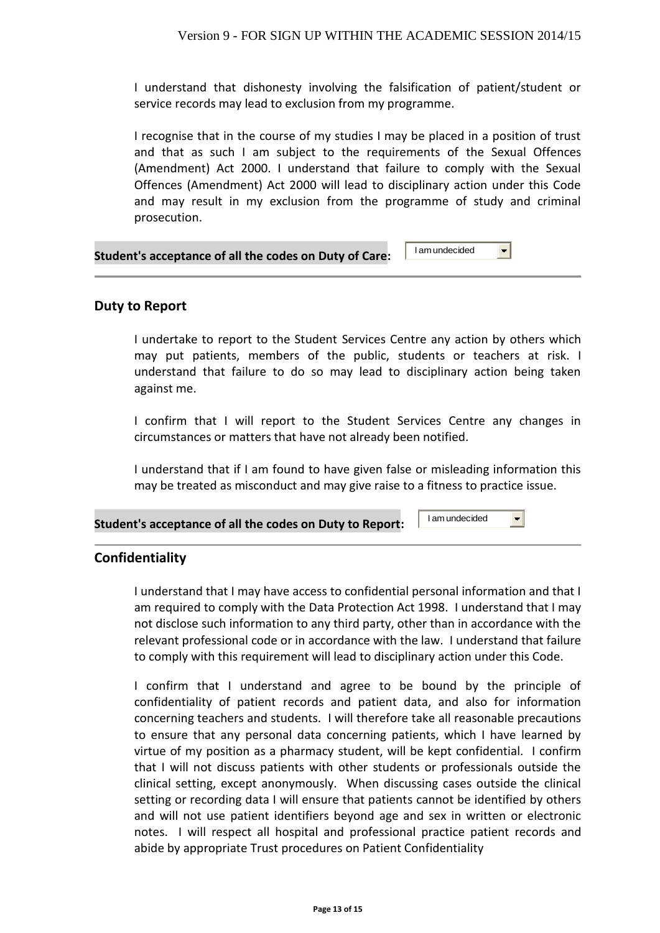I understand that dishonesty involving the falsification of patient/student or service records may lead to exclusion from my programme.

I recognise that in the course of my studies I may be placed in a position of trust and that as such I am subject to the requirements of the Sexual Offences (Amendment) Act 2000. I understand that failure to comply with the Sexual Offences (Amendment) Act 2000 will lead to disciplinary action under this Code and may result in my exclusion from the programme of study and criminal prosecution.

#### **Student's acceptance of all the codes on Duty of Care:** I am undecided

#### **Duty to Report**

I undertake to report to the Student Services Centre any action by others which may put patients, members of the public, students or teachers at risk. I understand that failure to do so may lead to disciplinary action being taken against me.

I confirm that I will report to the Student Services Centre any changes in circumstances or matters that have not already been notified.

I understand that if I am found to have given false or misleading information this may be treated as misconduct and may give raise to a fitness to practice issue.

I am undecided

 $\left| \cdot \right|$ 

 $\blacksquare$ 

#### **Student's acceptance of all the codes on Duty to Report:**

**Confidentiality**

I understand that I may have access to confidential personal information and that I am required to comply with the Data Protection Act 1998. I understand that I may not disclose such information to any third party, other than in accordance with the relevant professional code or in accordance with the law. I understand that failure to comply with this requirement will lead to disciplinary action under this Code.

I confirm that I understand and agree to be bound by the principle of confidentiality of patient records and patient data, and also for information concerning teachers and students. I will therefore take all reasonable precautions to ensure that any personal data concerning patients, which I have learned by virtue of my position as a pharmacy student, will be kept confidential. I confirm that I will not discuss patients with other students or professionals outside the clinical setting, except anonymously. When discussing cases outside the clinical setting or recording data I will ensure that patients cannot be identified by others and will not use patient identifiers beyond age and sex in written or electronic notes. I will respect all hospital and professional practice patient records and abide by appropriate Trust procedures on Patient Confidentiality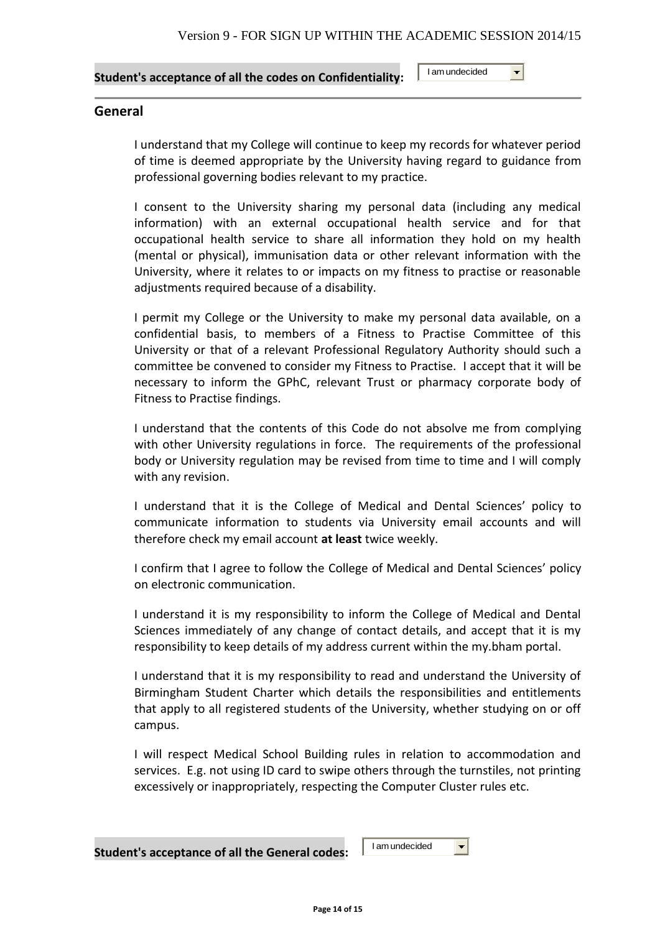#### **Student's acceptance of all the codes on Confidentiality:**

I am undecided

 $\left| \cdot \right|$ 

#### **General**

I understand that my College will continue to keep my records for whatever period of time is deemed appropriate by the University having regard to guidance from professional governing bodies relevant to my practice.

I consent to the University sharing my personal data (including any medical information) with an external occupational health service and for that occupational health service to share all information they hold on my health (mental or physical), immunisation data or other relevant information with the University, where it relates to or impacts on my fitness to practise or reasonable adjustments required because of a disability.

I permit my College or the University to make my personal data available, on a confidential basis, to members of a Fitness to Practise Committee of this University or that of a relevant Professional Regulatory Authority should such a committee be convened to consider my Fitness to Practise. I accept that it will be necessary to inform the GPhC, relevant Trust or pharmacy corporate body of Fitness to Practise findings.

I understand that the contents of this Code do not absolve me from complying with other University regulations in force. The requirements of the professional body or University regulation may be revised from time to time and I will comply with any revision.

I understand that it is the College of Medical and Dental Sciences' policy to communicate information to students via University email accounts and will therefore check my email account **at least** twice weekly.

I confirm that I agree to follow the College of Medical and Dental Sciences' policy on electronic communication.

I understand it is my responsibility to inform the College of Medical and Dental Sciences immediately of any change of contact details, and accept that it is my responsibility to keep details of my address current within the my.bham portal.

I understand that it is my responsibility to read and understand the University of Birmingham Student Charter which details the responsibilities and entitlements that apply to all registered students of the University, whether studying on or off campus.

I will respect Medical School Building rules in relation to accommodation and services. E.g. not using ID card to swipe others through the turnstiles, not printing excessively or inappropriately, respecting the Computer Cluster rules etc.

I am undecided

 $\blacktriangledown$